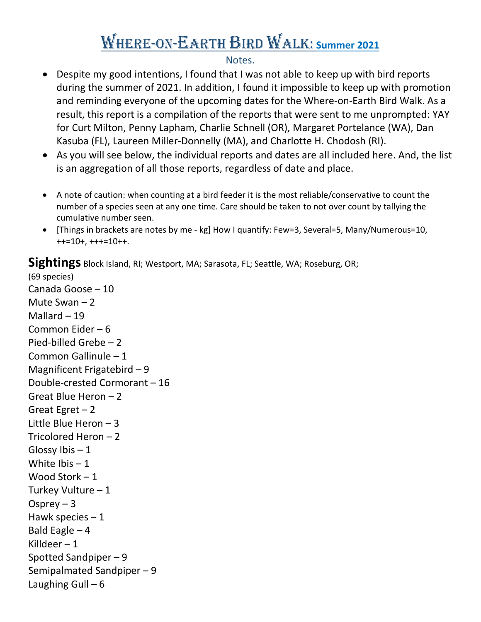## Where-on-Earth Bird Walk: **Summer 2021**

## Notes.

- Despite my good intentions, I found that I was not able to keep up with bird reports during the summer of 2021. In addition, I found it impossible to keep up with promotion and reminding everyone of the upcoming dates for the Where-on-Earth Bird Walk. As a result, this report is a compilation of the reports that were sent to me unprompted: YAY for Curt Milton, Penny Lapham, Charlie Schnell (OR), Margaret Portelance (WA), Dan Kasuba (FL), Laureen Miller-Donnelly (MA), and Charlotte H. Chodosh (RI).
- As you will see below, the individual reports and dates are all included here. And, the list is an aggregation of all those reports, regardless of date and place.
- A note of caution: when counting at a bird feeder it is the most reliable/conservative to count the number of a species seen at any one time. Care should be taken to not over count by tallying the cumulative number seen.
- [Things in brackets are notes by me kg] How I quantify: Few=3, Several=5, Many/Numerous=10, ++=10+, +++=10++.

**Sightings** Block Island, RI; Westport, MA; Sarasota, FL; Seattle, WA; Roseburg, OR;

(69 species) Canada Goose – 10 Mute Swan  $-2$ Mallard  $-19$ Common Eider – 6 Pied-billed Grebe – 2 Common Gallinule – 1 Magnificent Frigatebird – 9 Double-crested Cormorant – 16 Great Blue Heron – 2 Great Egret  $-2$ Little Blue Heron – 3 Tricolored Heron – 2 Glossy Ibis  $-1$ White  $\text{I}\text{bis} - 1$ Wood Stork – 1 Turkey Vulture – 1 Osprey  $-3$ Hawk species  $-1$ Bald Eagle  $-4$ Killdeer  $-1$ Spotted Sandpiper – 9 Semipalmated Sandpiper – 9 Laughing Gull  $-6$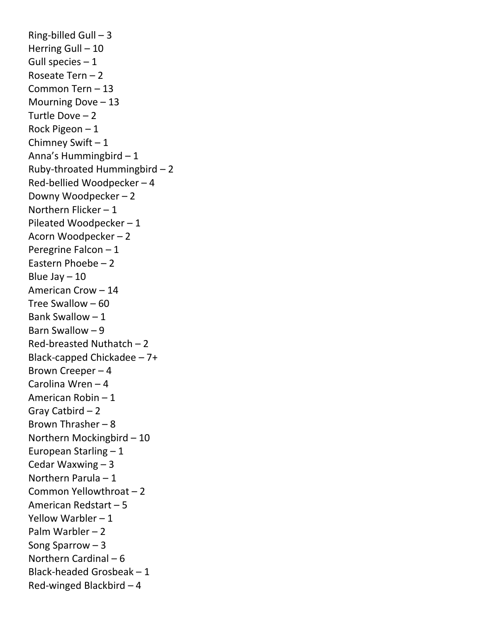Ring-billed Gull  $-3$ Herring Gull – 10 Gull species  $-1$ Roseate Tern – 2 Common Tern – 13 Mourning Dove – 13 Turtle Dove – 2 Rock Pigeon – 1 Chimney Swift – 1 Anna's Hummingbird – 1 Ruby-throated Hummingbird – 2 Red-bellied Woodpecker – 4 Downy Woodpecker – 2 Northern Flicker – 1 Pileated Woodpecker – 1 Acorn Woodpecker – 2 Peregrine Falcon – 1 Eastern Phoebe – 2 Blue Jay  $-10$ American Crow – 14 Tree Swallow – 60 Bank Swallow – 1 Barn Swallow – 9 Red-breasted Nuthatch – 2 Black-capped Chickadee – 7+ Brown Creeper – 4 Carolina Wren – 4 American Robin – 1 Gray Catbird – 2 Brown Thrasher – 8 Northern Mockingbird – 10 European Starling – 1 Cedar Waxwing – 3 Northern Parula – 1 Common Yellowthroat – 2 American Redstart – 5 Yellow Warbler – 1 Palm Warbler – 2 Song Sparrow – 3 Northern Cardinal – 6 Black-headed Grosbeak – 1 Red-winged Blackbird – 4